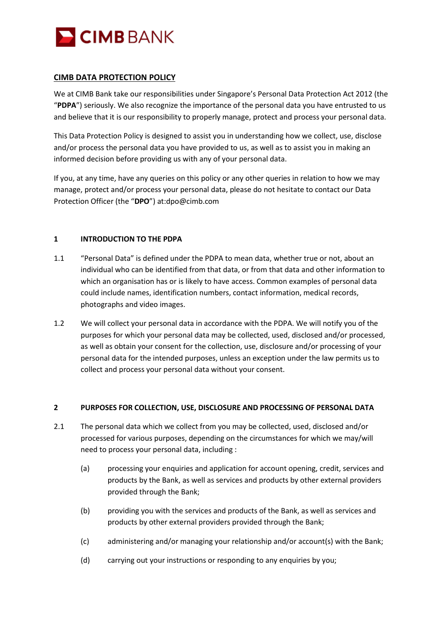

## **CIMB DATA PROTECTION POLICY**

We at CIMB Bank take our responsibilities under Singapore's Personal Data Protection Act 2012 (the "**PDPA**") seriously. We also recognize the importance of the personal data you have entrusted to us and believe that it is our responsibility to properly manage, protect and process your personal data.

This Data Protection Policy is designed to assist you in understanding how we collect, use, disclose and/or process the personal data you have provided to us, as well as to assist you in making an informed decision before providing us with any of your personal data.

If you, at any time, have any queries on this policy or any other queries in relation to how we may manage, protect and/or process your personal data, please do not hesitate to contact our Data Protection Officer (the "**DPO**") at:dpo@cimb.com

### **1 INTRODUCTION TO THE PDPA**

- 1.1 "Personal Data" is defined under the PDPA to mean data, whether true or not, about an individual who can be identified from that data, or from that data and other information to which an organisation has or is likely to have access. Common examples of personal data could include names, identification numbers, contact information, medical records, photographs and video images.
- 1.2 We will collect your personal data in accordance with the PDPA. We will notify you of the purposes for which your personal data may be collected, used, disclosed and/or processed, as well as obtain your consent for the collection, use, disclosure and/or processing of your personal data for the intended purposes, unless an exception under the law permits us to collect and process your personal data without your consent.

#### **2 PURPOSES FOR COLLECTION, USE, DISCLOSURE AND PROCESSING OF PERSONAL DATA**

- 2.1 The personal data which we collect from you may be collected, used, disclosed and/or processed for various purposes, depending on the circumstances for which we may/will need to process your personal data, including :
	- (a) processing your enquiries and application for account opening, credit, services and products by the Bank, as well as services and products by other external providers provided through the Bank;
	- (b) providing you with the services and products of the Bank, as well as services and products by other external providers provided through the Bank;
	- (c) administering and/or managing your relationship and/or account(s) with the Bank;
	- (d) carrying out your instructions or responding to any enquiries by you;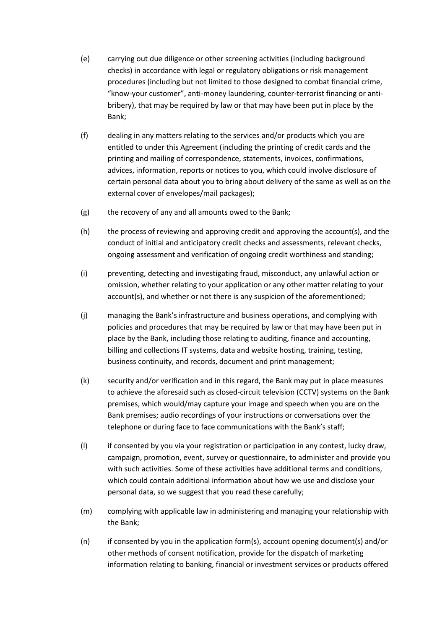- (e) carrying out due diligence or other screening activities (including background checks) in accordance with legal or regulatory obligations or risk management procedures (including but not limited to those designed to combat financial crime, "know-your customer", anti-money laundering, counter-terrorist financing or antibribery), that may be required by law or that may have been put in place by the Bank;
- (f) dealing in any matters relating to the services and/or products which you are entitled to under this Agreement (including the printing of credit cards and the printing and mailing of correspondence, statements, invoices, confirmations, advices, information, reports or notices to you, which could involve disclosure of certain personal data about you to bring about delivery of the same as well as on the external cover of envelopes/mail packages);
- (g) the recovery of any and all amounts owed to the Bank;
- (h) the process of reviewing and approving credit and approving the account(s), and the conduct of initial and anticipatory credit checks and assessments, relevant checks, ongoing assessment and verification of ongoing credit worthiness and standing;
- (i) preventing, detecting and investigating fraud, misconduct, any unlawful action or omission, whether relating to your application or any other matter relating to your account(s), and whether or not there is any suspicion of the aforementioned;
- (j) managing the Bank's infrastructure and business operations, and complying with policies and procedures that may be required by law or that may have been put in place by the Bank, including those relating to auditing, finance and accounting, billing and collections IT systems, data and website hosting, training, testing, business continuity, and records, document and print management;
- (k) security and/or verification and in this regard, the Bank may put in place measures to achieve the aforesaid such as closed-circuit television (CCTV) systems on the Bank premises, which would/may capture your image and speech when you are on the Bank premises; audio recordings of your instructions or conversations over the telephone or during face to face communications with the Bank's staff;
- (l) if consented by you via your registration or participation in any contest, lucky draw, campaign, promotion, event, survey or questionnaire, to administer and provide you with such activities. Some of these activities have additional terms and conditions, which could contain additional information about how we use and disclose your personal data, so we suggest that you read these carefully;
- (m) complying with applicable law in administering and managing your relationship with the Bank;
- (n) if consented by you in the application form(s), account opening document(s) and/or other methods of consent notification, provide for the dispatch of marketing information relating to banking, financial or investment services or products offered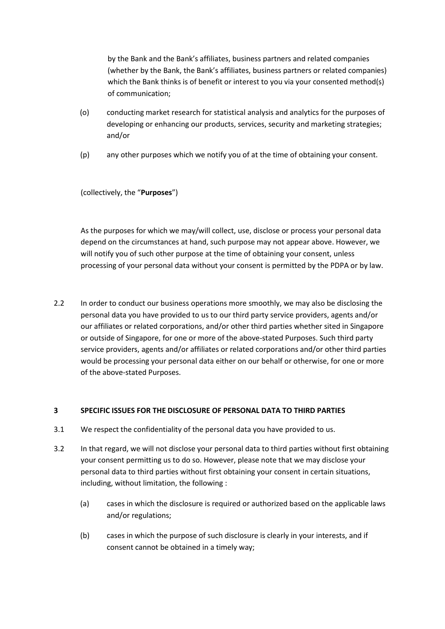by the Bank and the Bank's affiliates, business partners and related companies (whether by the Bank, the Bank's affiliates, business partners or related companies) which the Bank thinks is of benefit or interest to you via your consented method(s) of communication;

- (o) conducting market research for statistical analysis and analytics for the purposes of developing or enhancing our products, services, security and marketing strategies; and/or
- (p) any other purposes which we notify you of at the time of obtaining your consent.

(collectively, the "**Purposes**")

As the purposes for which we may/will collect, use, disclose or process your personal data depend on the circumstances at hand, such purpose may not appear above. However, we will notify you of such other purpose at the time of obtaining your consent, unless processing of your personal data without your consent is permitted by the PDPA or by law.

2.2 In order to conduct our business operations more smoothly, we may also be disclosing the personal data you have provided to us to our third party service providers, agents and/or our affiliates or related corporations, and/or other third parties whether sited in Singapore or outside of Singapore, for one or more of the above-stated Purposes. Such third party service providers, agents and/or affiliates or related corporations and/or other third parties would be processing your personal data either on our behalf or otherwise, for one or more of the above-stated Purposes.

## **3 SPECIFIC ISSUES FOR THE DISCLOSURE OF PERSONAL DATA TO THIRD PARTIES**

- 3.1 We respect the confidentiality of the personal data you have provided to us.
- 3.2 In that regard, we will not disclose your personal data to third parties without first obtaining your consent permitting us to do so. However, please note that we may disclose your personal data to third parties without first obtaining your consent in certain situations, including, without limitation, the following :
	- (a) cases in which the disclosure is required or authorized based on the applicable laws and/or regulations;
	- (b) cases in which the purpose of such disclosure is clearly in your interests, and if consent cannot be obtained in a timely way;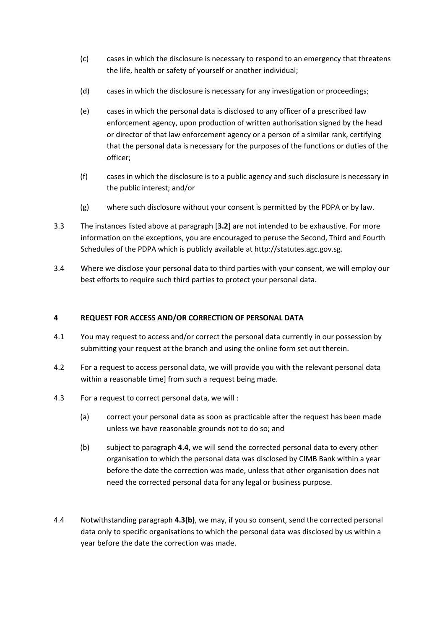- (c) cases in which the disclosure is necessary to respond to an emergency that threatens the life, health or safety of yourself or another individual;
- (d) cases in which the disclosure is necessary for any investigation or proceedings;
- (e) cases in which the personal data is disclosed to any officer of a prescribed law enforcement agency, upon production of written authorisation signed by the head or director of that law enforcement agency or a person of a similar rank, certifying that the personal data is necessary for the purposes of the functions or duties of the officer;
- (f) cases in which the disclosure is to a public agency and such disclosure is necessary in the public interest; and/or
- (g) where such disclosure without your consent is permitted by the PDPA or by law.
- 3.3 The instances listed above at paragraph [**3.2**] are not intended to be exhaustive. For more information on the exceptions, you are encouraged to peruse the Second, Third and Fourth Schedules of the PDPA which is publicly available at [http://statutes.agc.gov.sg.](http://statutes.agc.gov.sg/)
- 3.4 Where we disclose your personal data to third parties with your consent, we will employ our best efforts to require such third parties to protect your personal data.

## **4 REQUEST FOR ACCESS AND/OR CORRECTION OF PERSONAL DATA**

- 4.1 You may request to access and/or correct the personal data currently in our possession by submitting your request at the branch and using the online form set out therein.
- 4.2 For a request to access personal data, we will provide you with the relevant personal data within a reasonable time] from such a request being made.
- 4.3 For a request to correct personal data, we will :
	- (a) correct your personal data as soon as practicable after the request has been made unless we have reasonable grounds not to do so; and
	- (b) subject to paragraph **4.4**, we will send the corrected personal data to every other organisation to which the personal data was disclosed by CIMB Bank within a year before the date the correction was made, unless that other organisation does not need the corrected personal data for any legal or business purpose.
- 4.4 Notwithstanding paragraph **4.3(b)**, we may, if you so consent, send the corrected personal data only to specific organisations to which the personal data was disclosed by us within a year before the date the correction was made.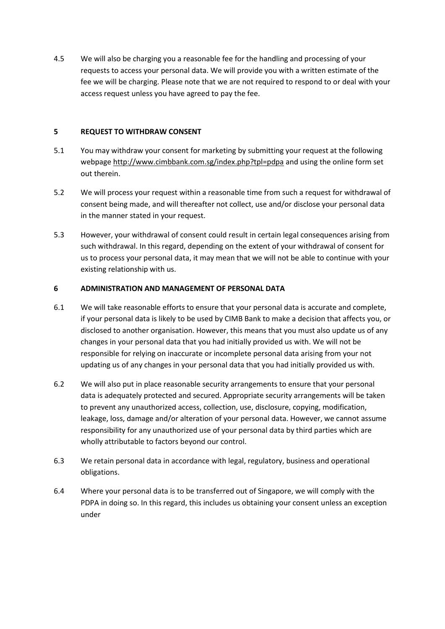4.5 We will also be charging you a reasonable fee for the handling and processing of your requests to access your personal data. We will provide you with a written estimate of the fee we will be charging. Please note that we are not required to respond to or deal with your access request unless you have agreed to pay the fee.

### **5 REQUEST TO WITHDRAW CONSENT**

- 5.1 You may withdraw your consent for marketing by submitting your request at the following webpage<http://www.cimbbank.com.sg/index.php?tpl=pdpa> and using the online form set out therein.
- 5.2 We will process your request within a reasonable time from such a request for withdrawal of consent being made, and will thereafter not collect, use and/or disclose your personal data in the manner stated in your request.
- 5.3 However, your withdrawal of consent could result in certain legal consequences arising from such withdrawal. In this regard, depending on the extent of your withdrawal of consent for us to process your personal data, it may mean that we will not be able to continue with your existing relationship with us.

# **6 ADMINISTRATION AND MANAGEMENT OF PERSONAL DATA**

- 6.1 We will take reasonable efforts to ensure that your personal data is accurate and complete, if your personal data is likely to be used by CIMB Bank to make a decision that affects you, or disclosed to another organisation. However, this means that you must also update us of any changes in your personal data that you had initially provided us with. We will not be responsible for relying on inaccurate or incomplete personal data arising from your not updating us of any changes in your personal data that you had initially provided us with.
- 6.2 We will also put in place reasonable security arrangements to ensure that your personal data is adequately protected and secured. Appropriate security arrangements will be taken to prevent any unauthorized access, collection, use, disclosure, copying, modification, leakage, loss, damage and/or alteration of your personal data. However, we cannot assume responsibility for any unauthorized use of your personal data by third parties which are wholly attributable to factors beyond our control.
- 6.3 We retain personal data in accordance with legal, regulatory, business and operational obligations.
- 6.4 Where your personal data is to be transferred out of Singapore, we will comply with the PDPA in doing so. In this regard, this includes us obtaining your consent unless an exception under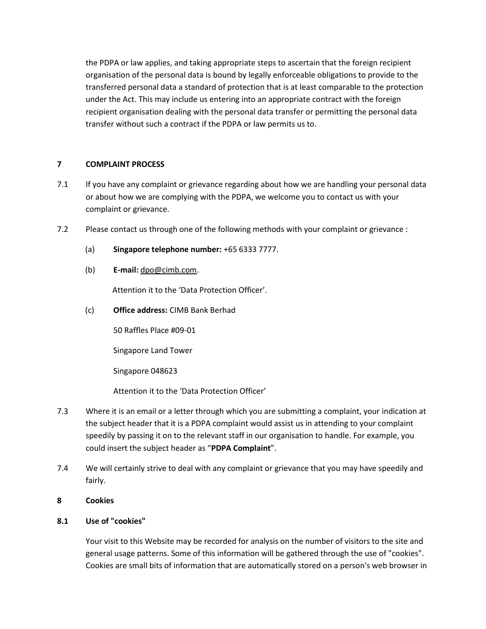the PDPA or law applies, and taking appropriate steps to ascertain that the foreign recipient organisation of the personal data is bound by legally enforceable obligations to provide to the transferred personal data a standard of protection that is at least comparable to the protection under the Act. This may include us entering into an appropriate contract with the foreign recipient organisation dealing with the personal data transfer or permitting the personal data transfer without such a contract if the PDPA or law permits us to.

## **7 COMPLAINT PROCESS**

- 7.1 If you have any complaint or grievance regarding about how we are handling your personal data or about how we are complying with the PDPA, we welcome you to contact us with your complaint or grievance.
- 7.2 Please contact us through one of the following methods with your complaint or grievance :
	- (a) **Singapore telephone number:** +65 6333 7777.
	- (b) **E-mail:** [dpo@cimb.com.](mailto:dpo@cimb.com)

Attention it to the 'Data Protection Officer'.

(c) **Office address:** CIMB Bank Berhad

50 Raffles Place #09-01

Singapore Land Tower

Singapore 048623

Attention it to the 'Data Protection Officer'

- 7.3 Where it is an email or a letter through which you are submitting a complaint, your indication at the subject header that it is a PDPA complaint would assist us in attending to your complaint speedily by passing it on to the relevant staff in our organisation to handle. For example, you could insert the subject header as "**PDPA Complaint**".
- 7.4 We will certainly strive to deal with any complaint or grievance that you may have speedily and fairly.
- **8 Cookies**

## **8.1 Use of "cookies"**

Your visit to this Website may be recorded for analysis on the number of visitors to the site and general usage patterns. Some of this information will be gathered through the use of "cookies". Cookies are small bits of information that are automatically stored on a person's web browser in